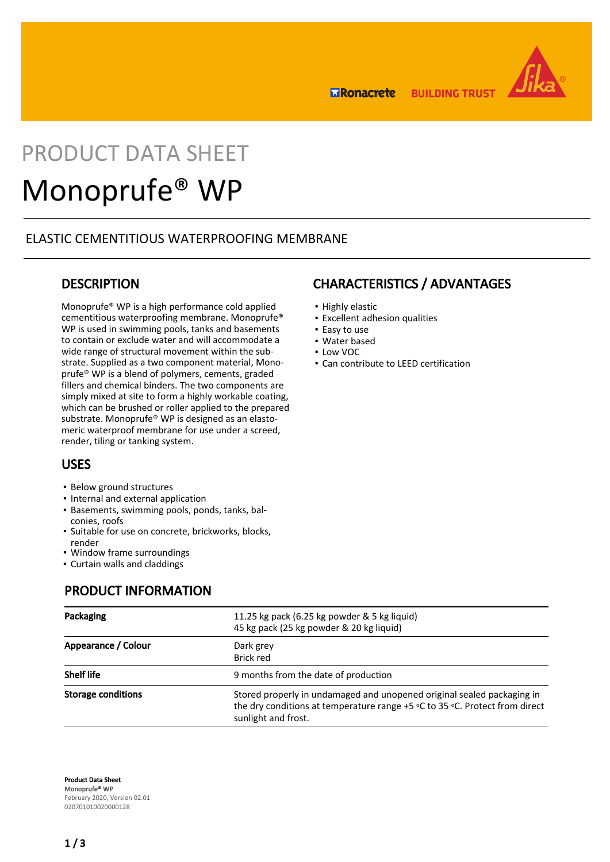

**ERonacrete BUILDING TRUST** 

# PRODUCT DATA SHEET Monoprufe® WP

## ELASTIC CEMENTITIOUS WATERPROOFING MEMBRANE

### **DESCRIPTION**

Monoprufe® WP is a high performance cold applied cementitious waterproofing membrane. Monoprufe® WP is used in swimming pools, tanks and basements to contain or exclude water and will accommodate a wide range of structural movement within the substrate. Supplied as a two component material, Monoprufe® WP is a blend of polymers, cements, graded fillers and chemical binders. The two components are simply mixed at site to form a highly workable coating, which can be brushed or roller applied to the prepared substrate. Monoprufe® WP is designed as an elastomeric waterproof membrane for use under a screed, render, tiling or tanking system.

## USES

- **Below ground structures**
- Internal and external application
- Basements, swimming pools, ponds, tanks, bal-▪ conies, roofs
- Suitable for use on concrete, brickworks, blocks, render
- Window frame surroundings
- Curtain walls and claddings

## PRODUCT INFORMATION

| Packaging                 | 11.25 kg pack (6.25 kg powder & 5 kg liquid)<br>45 kg pack (25 kg powder & 20 kg liquid)                                                                                     |  |  |
|---------------------------|------------------------------------------------------------------------------------------------------------------------------------------------------------------------------|--|--|
| Appearance / Colour       | Dark grey<br>Brick red                                                                                                                                                       |  |  |
| <b>Shelf life</b>         | 9 months from the date of production                                                                                                                                         |  |  |
| <b>Storage conditions</b> | Stored properly in undamaged and unopened original sealed packaging in<br>the dry conditions at temperature range +5 °C to 35 °C. Protect from direct<br>sunlight and frost. |  |  |

Product Data Sheet Monoprufe® WP February 2020, Version 02.01 020701010020000128

## CHARACTERISTICS / ADVANTAGES

- Highly elastic
- Excellent adhesion qualities
- Easy to use
- Water based
- Low VOC
- Can contribute to LEED certification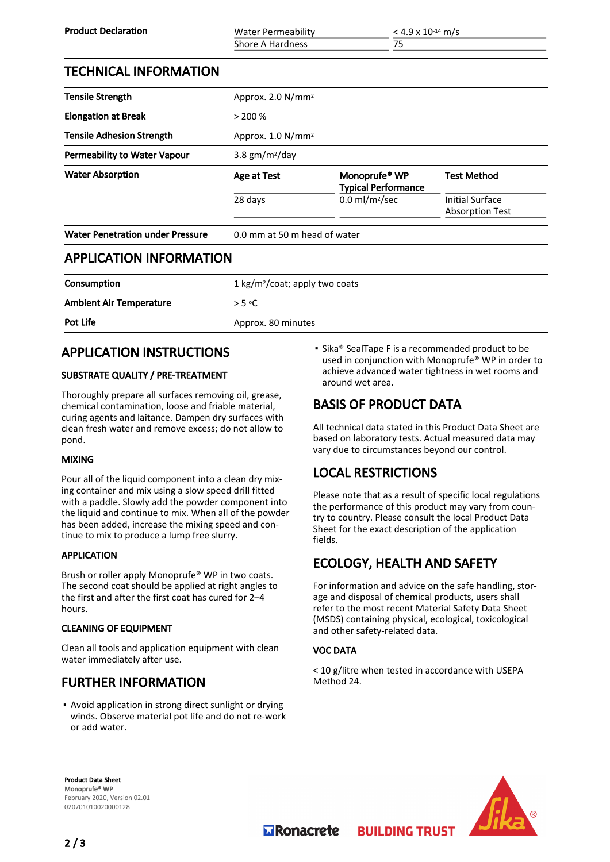| <b>Product Declaration</b>              | <b>Water Permeability</b>                  |                                                         | $<$ 4.9 x 10 <sup>-14</sup> m/s                  |  |
|-----------------------------------------|--------------------------------------------|---------------------------------------------------------|--------------------------------------------------|--|
|                                         | Shore A Hardness                           | 75                                                      |                                                  |  |
| <b>TECHNICAL INFORMATION</b>            |                                            |                                                         |                                                  |  |
| <b>Tensile Strength</b>                 | Approx. 2.0 N/mm <sup>2</sup>              |                                                         |                                                  |  |
| <b>Elongation at Break</b>              | > 200%                                     |                                                         |                                                  |  |
| <b>Tensile Adhesion Strength</b>        | Approx. $1.0 N/mm^2$                       |                                                         |                                                  |  |
| <b>Permeability to Water Vapour</b>     | 3.8 $gm/m2/day$                            |                                                         |                                                  |  |
| <b>Water Absorption</b>                 | Age at Test                                | Monoprufe <sup>®</sup> WP<br><b>Typical Performance</b> | <b>Test Method</b>                               |  |
|                                         | 28 days                                    | $0.0$ ml/m <sup>2</sup> /sec                            | <b>Initial Surface</b><br><b>Absorption Test</b> |  |
| <b>Water Penetration under Pressure</b> | 0.0 mm at 50 m head of water               |                                                         |                                                  |  |
| <b>APPLICATION INFORMATION</b>          |                                            |                                                         |                                                  |  |
| Consumption                             | 1 kg/m <sup>2</sup> /coat; apply two coats |                                                         |                                                  |  |
| <b>Ambient Air Temperature</b>          | $>$ 5 °C                                   |                                                         |                                                  |  |

Pot Life Approx. 80 minutes

# APPLICATION INSTRUCTIONS

#### SUBSTRATE QUALITY / PRE-TREATMENT

Thoroughly prepare all surfaces removing oil, grease, chemical contamination, loose and friable material, curing agents and laitance. Dampen dry surfaces with clean fresh water and remove excess; do not allow to pond.

#### MIXING

Pour all of the liquid component into a clean dry mixing container and mix using a slow speed drill fitted with a paddle. Slowly add the powder component into the liquid and continue to mix. When all of the powder has been added, increase the mixing speed and continue to mix to produce a lump free slurry.

#### APPLICATION

Brush or roller apply Monoprufe® WP in two coats. The second coat should be applied at right angles to the first and after the first coat has cured for 2–4 hours.

#### CLEANING OF EQUIPMENT

Clean all tools and application equipment with clean water immediately after use.

# FURTHER INFORMATION

**•** Avoid application in strong direct sunlight or drying winds. Observe material pot life and do not re-work or add water.

**•** Sika® SealTape F is a recommended product to be used in conjunction with Monoprufe® WP in order to achieve advanced water tightness in wet rooms and around wet area.

# BASIS OF PRODUCT DATA

All technical data stated in this Product Data Sheet are based on laboratory tests. Actual measured data may vary due to circumstances beyond our control.

# LOCAL RESTRICTIONS

Please note that as a result of specific local regulations the performance of this product may vary from country to country. Please consult the local Product Data Sheet for the exact description of the application fields.

# ECOLOGY, HEALTH AND SAFETY

For information and advice on the safe handling, storage and disposal of chemical products, users shall refer to the most recent Material Safety Data Sheet (MSDS) containing physical, ecological, toxicological and other safety-related data.

#### VOC DATA

< 10 g/litre when tested in accordance with USEPA Method 24.

**BUILDING TRUST** 

Product Data Sheet Monoprufe® WP February 2020, Version 02.01 020701010020000128



**Transporter**